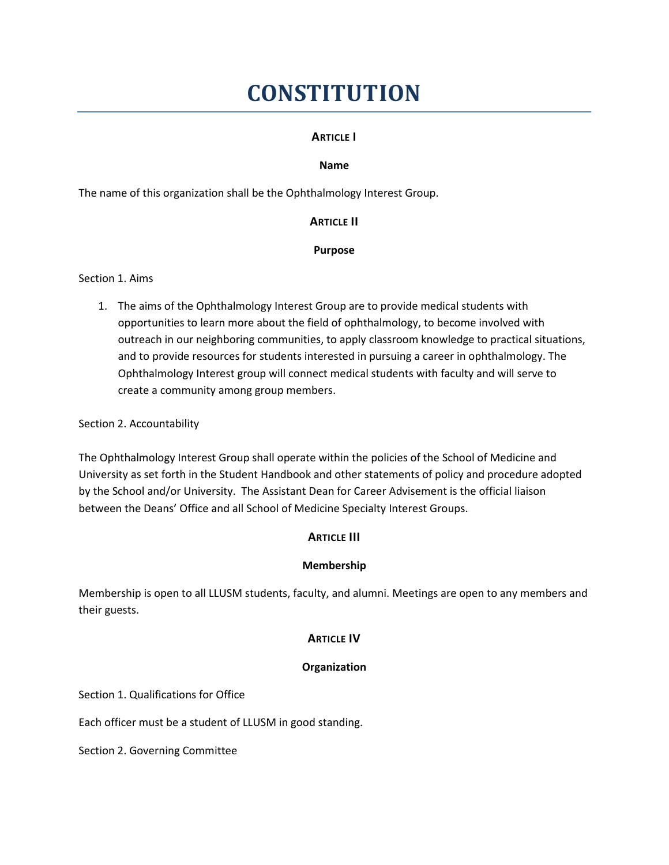# **CONSTITUTION**

## **ARTICLE I**

#### **Name**

The name of this organization shall be the Ophthalmology Interest Group.

## **ARTICLE II**

## **Purpose**

Section 1. Aims

1. The aims of the Ophthalmology Interest Group are to provide medical students with opportunities to learn more about the field of ophthalmology, to become involved with outreach in our neighboring communities, to apply classroom knowledge to practical situations, and to provide resources for students interested in pursuing a career in ophthalmology. The Ophthalmology Interest group will connect medical students with faculty and will serve to create a community among group members.

#### Section 2. Accountability

The Ophthalmology Interest Group shall operate within the policies of the School of Medicine and University as set forth in the Student Handbook and other statements of policy and procedure adopted by the School and/or University. The Assistant Dean for Career Advisement is the official liaison between the Deans' Office and all School of Medicine Specialty Interest Groups.

# **ARTICLE III**

#### **Membership**

Membership is open to all LLUSM students, faculty, and alumni. Meetings are open to any members and their guests.

#### **ARTICLE IV**

#### **Organization**

Section 1. Qualifications for Office

Each officer must be a student of LLUSM in good standing.

Section 2. Governing Committee